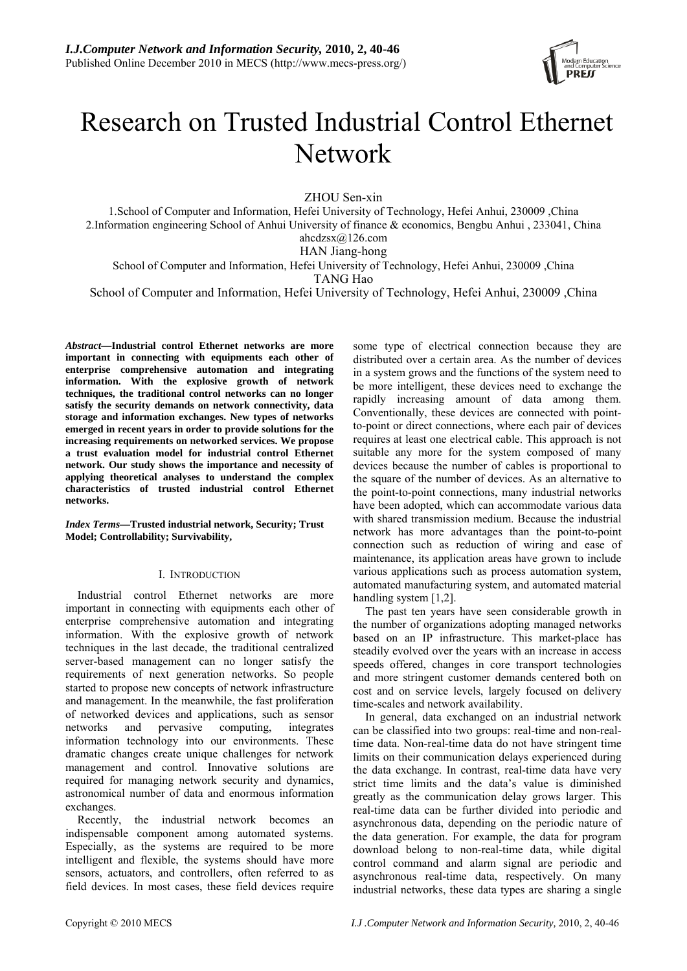

# Research on Trusted Industrial Control Ethernet Network

ZHOU Sen-xin

1.School of Computer and Information, Hefei University of Technology, Hefei Anhui, 230009 ,China 2.Information engineering School of Anhui University of finance & economics, Bengbu Anhui , 233041, China ahcdzsx@126.com HAN Jiang-hong School of Computer and Information, Hefei University of Technology, Hefei Anhui, 230009 ,China TANG Hao

School of Computer and Information, Hefei University of Technology, Hefei Anhui, 230009 ,China

*Abstract***—Industrial control Ethernet networks are more important in connecting with equipments each other of enterprise comprehensive automation and integrating information. With the explosive growth of network techniques, the traditional control networks can no longer satisfy the security demands on network connectivity, data storage and information exchanges. New types of networks emerged in recent years in order to provide solutions for the increasing requirements on networked services. We propose a trust evaluation model for industrial control Ethernet network. Our study shows the importance and necessity of applying theoretical analyses to understand the complex characteristics of trusted industrial control Ethernet networks.** 

*Index Terms***—Trusted industrial network, Security; Trust Model; Controllability; Survivability,** 

# I. INTRODUCTION

Industrial control Ethernet networks are more important in connecting with equipments each other of enterprise comprehensive automation and integrating information. With the explosive growth of network techniques in the last decade, the traditional centralized server-based management can no longer satisfy the requirements of next generation networks. So people started to propose new concepts of network infrastructure and management. In the meanwhile, the fast proliferation of networked devices and applications, such as sensor networks and pervasive computing, integrates information technology into our environments. These dramatic changes create unique challenges for network management and control. Innovative solutions are required for managing network security and dynamics, astronomical number of data and enormous information exchanges.

Recently, the industrial network becomes an indispensable component among automated systems. Especially, as the systems are required to be more intelligent and flexible, the systems should have more sensors, actuators, and controllers, often referred to as field devices. In most cases, these field devices require some type of electrical connection because they are distributed over a certain area. As the number of devices in a system grows and the functions of the system need to be more intelligent, these devices need to exchange the rapidly increasing amount of data among them. Conventionally, these devices are connected with pointto-point or direct connections, where each pair of devices requires at least one electrical cable. This approach is not suitable any more for the system composed of many devices because the number of cables is proportional to the square of the number of devices. As an alternative to the point-to-point connections, many industrial networks have been adopted, which can accommodate various data with shared transmission medium. Because the industrial network has more advantages than the point-to-point connection such as reduction of wiring and ease of maintenance, its application areas have grown to include various applications such as process automation system, automated manufacturing system, and automated material handling system [1,2].

The past ten years have seen considerable growth in the number of organizations adopting managed networks based on an IP infrastructure. This market-place has steadily evolved over the years with an increase in access speeds offered, changes in core transport technologies and more stringent customer demands centered both on cost and on service levels, largely focused on delivery time-scales and network availability.

In general, data exchanged on an industrial network can be classified into two groups: real-time and non-realtime data. Non-real-time data do not have stringent time limits on their communication delays experienced during the data exchange. In contrast, real-time data have very strict time limits and the data's value is diminished greatly as the communication delay grows larger. This real-time data can be further divided into periodic and asynchronous data, depending on the periodic nature of the data generation. For example, the data for program download belong to non-real-time data, while digital control command and alarm signal are periodic and asynchronous real-time data, respectively. On many industrial networks, these data types are sharing a single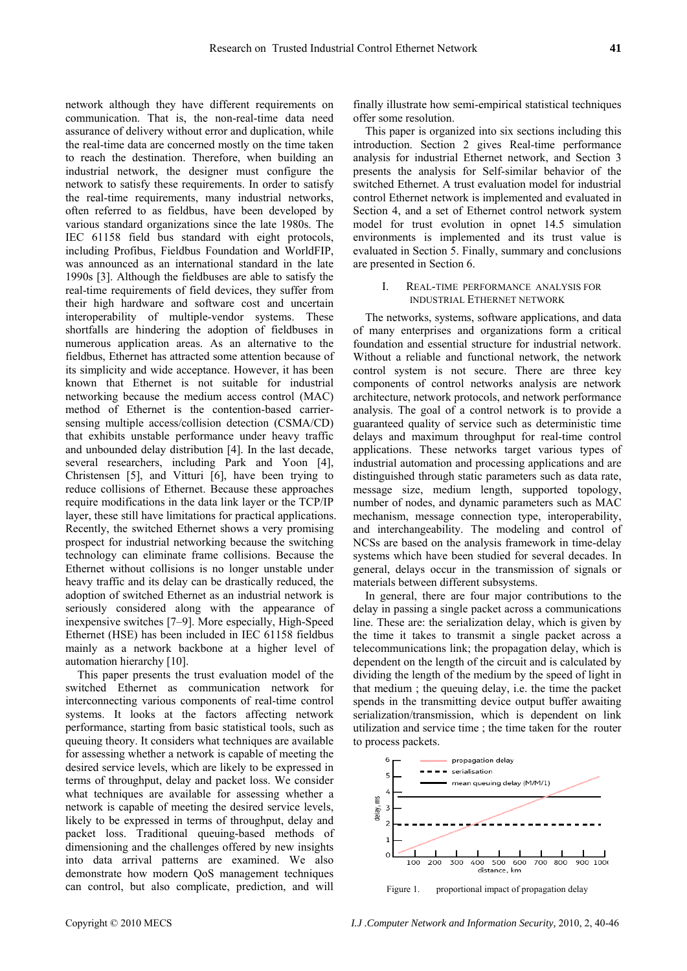network although they have different requirements on communication. That is, the non-real-time data need assurance of delivery without error and duplication, while the real-time data are concerned mostly on the time taken to reach the destination. Therefore, when building an industrial network, the designer must configure the network to satisfy these requirements. In order to satisfy the real-time requirements, many industrial networks, often referred to as fieldbus, have been developed by various standard organizations since the late 1980s. The IEC 61158 field bus standard with eight protocols, including Profibus, Fieldbus Foundation and WorldFIP, was announced as an international standard in the late 1990s [3]. Although the fieldbuses are able to satisfy the real-time requirements of field devices, they suffer from their high hardware and software cost and uncertain interoperability of multiple-vendor systems. These shortfalls are hindering the adoption of fieldbuses in numerous application areas. As an alternative to the fieldbus, Ethernet has attracted some attention because of its simplicity and wide acceptance. However, it has been known that Ethernet is not suitable for industrial networking because the medium access control (MAC) method of Ethernet is the contention-based carriersensing multiple access/collision detection (CSMA/CD) that exhibits unstable performance under heavy traffic and unbounded delay distribution [4]. In the last decade, several researchers, including Park and Yoon [4], Christensen [5], and Vitturi [6], have been trying to reduce collisions of Ethernet. Because these approaches require modifications in the data link layer or the TCP/IP layer, these still have limitations for practical applications. Recently, the switched Ethernet shows a very promising prospect for industrial networking because the switching technology can eliminate frame collisions. Because the Ethernet without collisions is no longer unstable under heavy traffic and its delay can be drastically reduced, the adoption of switched Ethernet as an industrial network is seriously considered along with the appearance of inexpensive switches [7–9]. More especially, High-Speed Ethernet (HSE) has been included in IEC 61158 fieldbus mainly as a network backbone at a higher level of automation hierarchy [10].

This paper presents the trust evaluation model of the switched Ethernet as communication network for interconnecting various components of real-time control systems. It looks at the factors affecting network performance, starting from basic statistical tools, such as queuing theory. It considers what techniques are available for assessing whether a network is capable of meeting the desired service levels, which are likely to be expressed in terms of throughput, delay and packet loss. We consider what techniques are available for assessing whether a network is capable of meeting the desired service levels, likely to be expressed in terms of throughput, delay and packet loss. Traditional queuing-based methods of dimensioning and the challenges offered by new insights into data arrival patterns are examined. We also demonstrate how modern QoS management techniques can control, but also complicate, prediction, and will

finally illustrate how semi-empirical statistical techniques offer some resolution.

This paper is organized into six sections including this introduction. Section 2 gives Real-time performance analysis for industrial Ethernet network, and Section 3 presents the analysis for Self-similar behavior of the switched Ethernet. A trust evaluation model for industrial control Ethernet network is implemented and evaluated in Section 4, and a set of Ethernet control network system model for trust evolution in opnet 14.5 simulation environments is implemented and its trust value is evaluated in Section 5. Finally, summary and conclusions are presented in Section 6.

#### I. REAL-TIME PERFORMANCE ANALYSIS FOR INDUSTRIAL ETHERNET NETWORK

The networks, systems, software applications, and data of many enterprises and organizations form a critical foundation and essential structure for industrial network. Without a reliable and functional network, the network control system is not secure. There are three key components of control networks analysis are network architecture, network protocols, and network performance analysis. The goal of a control network is to provide a guaranteed quality of service such as deterministic time delays and maximum throughput for real-time control applications. These networks target various types of industrial automation and processing applications and are distinguished through static parameters such as data rate, message size, medium length, supported topology, number of nodes, and dynamic parameters such as MAC mechanism, message connection type, interoperability, and interchangeability. The modeling and control of NCSs are based on the analysis framework in time-delay systems which have been studied for several decades. In general, delays occur in the transmission of signals or materials between different subsystems.

In general, there are four major contributions to the delay in passing a single packet across a communications line. These are: the serialization delay, which is given by the time it takes to transmit a single packet across a telecommunications link; the propagation delay, which is dependent on the length of the circuit and is calculated by dividing the length of the medium by the speed of light in that medium ; the queuing delay, i.e. the time the packet spends in the transmitting device output buffer awaiting serialization/transmission, which is dependent on link utilization and service time ; the time taken for the router to process packets.



Figure 1. proportional impact of propagation delay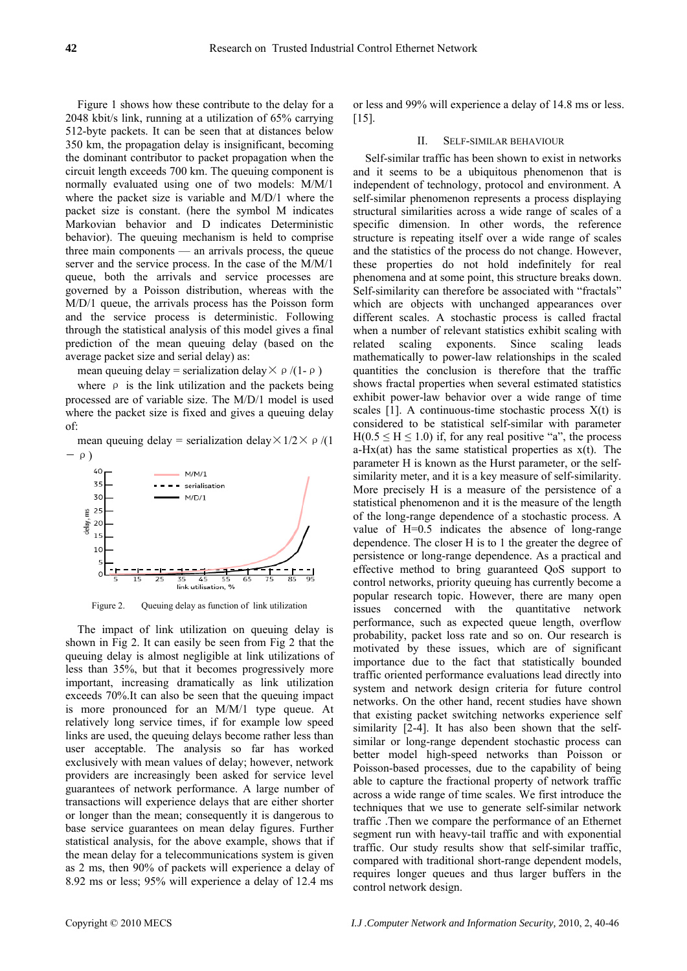Figure 1 shows how these contribute to the delay for a 2048 kbit/s link, running at a utilization of 65% carrying 512-byte packets. It can be seen that at distances below 350 km, the propagation delay is insignificant, becoming the dominant contributor to packet propagation when the circuit length exceeds 700 km. The queuing component is normally evaluated using one of two models: M/M/1 where the packet size is variable and M/D/1 where the packet size is constant. (here the symbol M indicates Markovian behavior and D indicates Deterministic behavior). The queuing mechanism is held to comprise three main components — an arrivals process, the queue server and the service process. In the case of the M/M/1 queue, both the arrivals and service processes are governed by a Poisson distribution, whereas with the M/D/1 queue, the arrivals process has the Poisson form and the service process is deterministic. Following through the statistical analysis of this model gives a final prediction of the mean queuing delay (based on the average packet size and serial delay) as:

mean queuing delay = serialization delay  $\times \rho$  /(1-ρ)

where  $\rho$  is the link utilization and the packets being processed are of variable size. The M/D/1 model is used where the packet size is fixed and gives a queuing delay of:

mean queuing delay = serialization delay  $\times$  1/2  $\times$   $\rho$  /(1 − ρ)



Figure 2. Queuing delay as function of link utilization

The impact of link utilization on queuing delay is shown in Fig 2. It can easily be seen from Fig 2 that the queuing delay is almost negligible at link utilizations of less than 35%, but that it becomes progressively more important, increasing dramatically as link utilization exceeds 70%.It can also be seen that the queuing impact is more pronounced for an M/M/1 type queue. At relatively long service times, if for example low speed links are used, the queuing delays become rather less than user acceptable. The analysis so far has worked exclusively with mean values of delay; however, network providers are increasingly been asked for service level guarantees of network performance. A large number of transactions will experience delays that are either shorter or longer than the mean; consequently it is dangerous to base service guarantees on mean delay figures. Further statistical analysis, for the above example, shows that if the mean delay for a telecommunications system is given as 2 ms, then 90% of packets will experience a delay of 8.92 ms or less; 95% will experience a delay of 12.4 ms or less and 99% will experience a delay of 14.8 ms or less.  $[15]$ .

#### II. SELF-SIMILAR BEHAVIOUR

Self-similar traffic has been shown to exist in networks and it seems to be a ubiquitous phenomenon that is independent of technology, protocol and environment. A self-similar phenomenon represents a process displaying structural similarities across a wide range of scales of a specific dimension. In other words, the reference structure is repeating itself over a wide range of scales and the statistics of the process do not change. However, these properties do not hold indefinitely for real phenomena and at some point, this structure breaks down. Self-similarity can therefore be associated with "fractals" which are objects with unchanged appearances over different scales. A stochastic process is called fractal when a number of relevant statistics exhibit scaling with related scaling exponents. Since scaling leads mathematically to power-law relationships in the scaled quantities the conclusion is therefore that the traffic shows fractal properties when several estimated statistics exhibit power-law behavior over a wide range of time scales  $[1]$ . A continuous-time stochastic process  $X(t)$  is considered to be statistical self-similar with parameter  $H(0.5 \leq H \leq 1.0)$  if, for any real positive "a", the process a-Hx(at) has the same statistical properties as x(t). The parameter H is known as the Hurst parameter, or the selfsimilarity meter, and it is a key measure of self-similarity. More precisely H is a measure of the persistence of a statistical phenomenon and it is the measure of the length of the long-range dependence of a stochastic process. A value of H=0.5 indicates the absence of long-range dependence. The closer H is to 1 the greater the degree of persistence or long-range dependence. As a practical and effective method to bring guaranteed QoS support to control networks, priority queuing has currently become a popular research topic. However, there are many open issues concerned with the quantitative network performance, such as expected queue length, overflow probability, packet loss rate and so on. Our research is motivated by these issues, which are of significant importance due to the fact that statistically bounded traffic oriented performance evaluations lead directly into system and network design criteria for future control networks. On the other hand, recent studies have shown that existing packet switching networks experience self similarity [2-4]. It has also been shown that the selfsimilar or long-range dependent stochastic process can better model high-speed networks than Poisson or Poisson-based processes, due to the capability of being able to capture the fractional property of network traffic across a wide range of time scales. We first introduce the techniques that we use to generate self-similar network traffic .Then we compare the performance of an Ethernet segment run with heavy-tail traffic and with exponential traffic. Our study results show that self-similar traffic, compared with traditional short-range dependent models, requires longer queues and thus larger buffers in the control network design.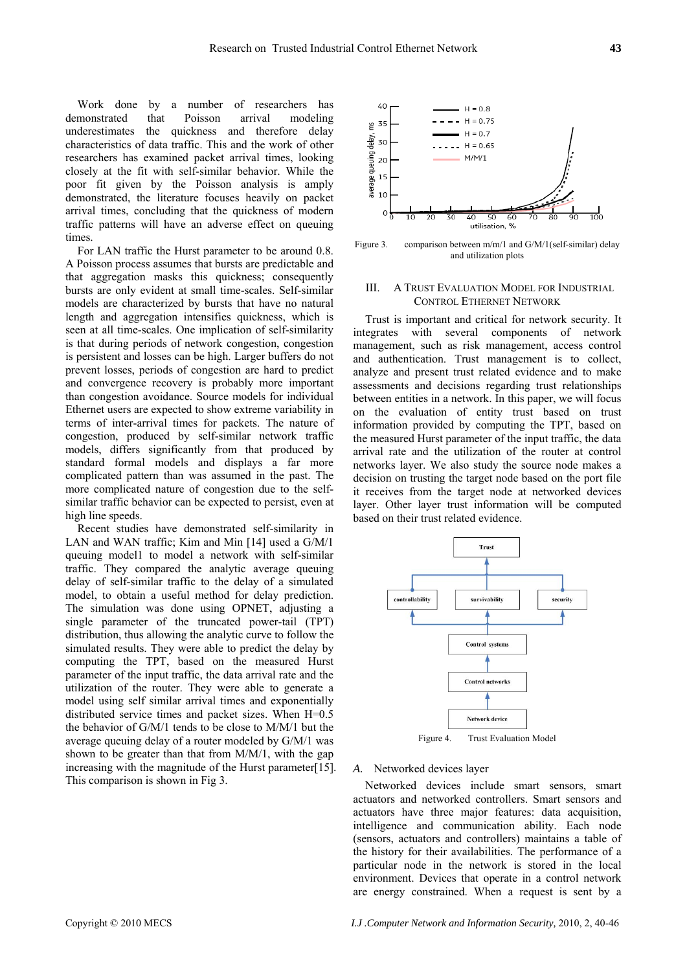Work done by a number of researchers has demonstrated that Poisson arrival modeling underestimates the quickness and therefore delay characteristics of data traffic. This and the work of other researchers has examined packet arrival times, looking closely at the fit with self-similar behavior. While the poor fit given by the Poisson analysis is amply demonstrated, the literature focuses heavily on packet arrival times, concluding that the quickness of modern traffic patterns will have an adverse effect on queuing times.

For LAN traffic the Hurst parameter to be around 0.8. A Poisson process assumes that bursts are predictable and that aggregation masks this quickness; consequently bursts are only evident at small time-scales. Self-similar models are characterized by bursts that have no natural length and aggregation intensifies quickness, which is seen at all time-scales. One implication of self-similarity is that during periods of network congestion, congestion is persistent and losses can be high. Larger buffers do not prevent losses, periods of congestion are hard to predict and convergence recovery is probably more important than congestion avoidance. Source models for individual Ethernet users are expected to show extreme variability in terms of inter-arrival times for packets. The nature of congestion, produced by self-similar network traffic models, differs significantly from that produced by standard formal models and displays a far more complicated pattern than was assumed in the past. The more complicated nature of congestion due to the selfsimilar traffic behavior can be expected to persist, even at high line speeds.

Recent studies have demonstrated self-similarity in LAN and WAN traffic; Kim and Min [14] used a G/M/1 queuing model1 to model a network with self-similar traffic. They compared the analytic average queuing delay of self-similar traffic to the delay of a simulated model, to obtain a useful method for delay prediction. The simulation was done using OPNET, adjusting a single parameter of the truncated power-tail (TPT) distribution, thus allowing the analytic curve to follow the simulated results. They were able to predict the delay by computing the TPT, based on the measured Hurst parameter of the input traffic, the data arrival rate and the utilization of the router. They were able to generate a model using self similar arrival times and exponentially distributed service times and packet sizes. When H=0.5 the behavior of G/M/1 tends to be close to M/M/1 but the average queuing delay of a router modeled by G/M/1 was shown to be greater than that from M/M/1, with the gap increasing with the magnitude of the Hurst parameter[15]. This comparison is shown in Fig 3.



Figure 3. comparison between m/m/1 and G/M/1(self-similar) delay and utilization plots

### III. A TRUST EVALUATION MODEL FOR INDUSTRIAL CONTROL ETHERNET NETWORK

Trust is important and critical for network security. It integrates with several components of network management, such as risk management, access control and authentication. Trust management is to collect, analyze and present trust related evidence and to make assessments and decisions regarding trust relationships between entities in a network. In this paper, we will focus on the evaluation of entity trust based on trust information provided by computing the TPT, based on the measured Hurst parameter of the input traffic, the data arrival rate and the utilization of the router at control networks layer. We also study the source node makes a decision on trusting the target node based on the port file it receives from the target node at networked devices layer. Other layer trust information will be computed based on their trust related evidence.



Figure 4. Trust Evaluation Model

### *A.* Networked devices layer

Networked devices include smart sensors, smart actuators and networked controllers. Smart sensors and actuators have three major features: data acquisition, intelligence and communication ability. Each node (sensors, actuators and controllers) maintains a table of the history for their availabilities. The performance of a particular node in the network is stored in the local environment. Devices that operate in a control network are energy constrained. When a request is sent by a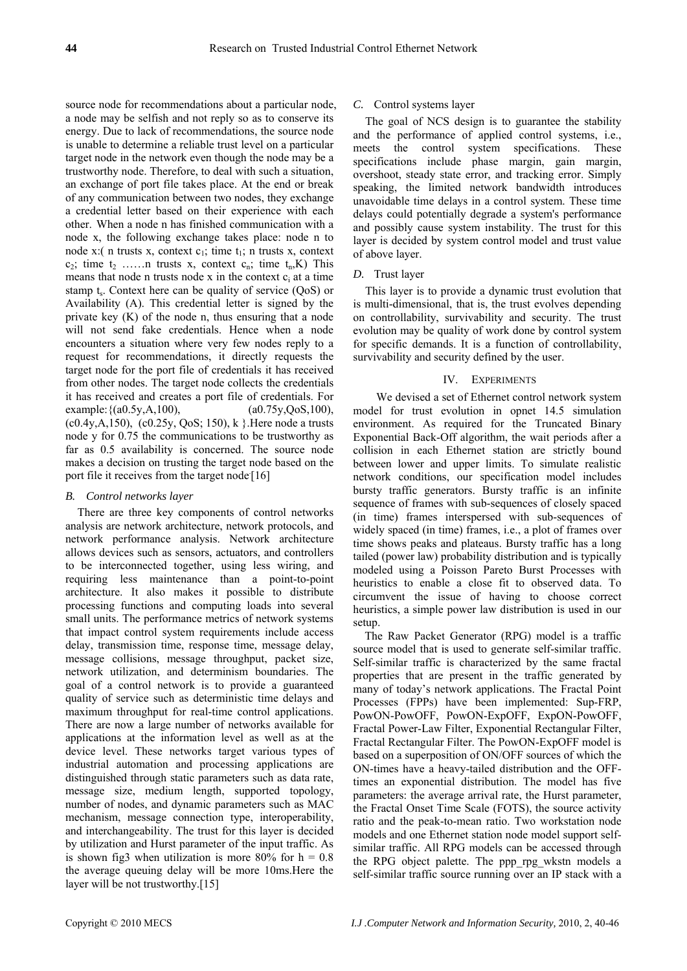source node for recommendations about a particular node, a node may be selfish and not reply so as to conserve its energy. Due to lack of recommendations, the source node is unable to determine a reliable trust level on a particular target node in the network even though the node may be a trustworthy node. Therefore, to deal with such a situation, an exchange of port file takes place. At the end or break of any communication between two nodes, they exchange a credential letter based on their experience with each other. When a node n has finished communication with a node x, the following exchange takes place: node n to node x:( n trusts x, context  $c_1$ ; time  $t_1$ ; n trusts x, context  $c_2$ ; time  $t_2$  ……n trusts x, context  $c_n$ ; time  $t_n$ , K) This means that node n trusts node x in the context  $c_i$  at a time stamp  $t_s$ . Context here can be quality of service  $(QoS)$  or Availability (A). This credential letter is signed by the private key (K) of the node n, thus ensuring that a node will not send fake credentials. Hence when a node encounters a situation where very few nodes reply to a request for recommendations, it directly requests the target node for the port file of credentials it has received from other nodes. The target node collects the credentials it has received and creates a port file of credentials. For example:  $\{(a0.5y, A, 100),$  (a0.75y, QoS, 100), (c0.4y,A,150), (c0.25y, QoS; 150), k }.Here node a trusts node y for 0.75 the communications to be trustworthy as far as 0.5 availability is concerned. The source node makes a decision on trusting the target node based on the port file it receives from the target node [16]

# *B. Control networks layer*

There are three key components of control networks analysis are network architecture, network protocols, and network performance analysis. Network architecture allows devices such as sensors, actuators, and controllers to be interconnected together, using less wiring, and requiring less maintenance than a point-to-point architecture. It also makes it possible to distribute processing functions and computing loads into several small units. The performance metrics of network systems that impact control system requirements include access delay, transmission time, response time, message delay, message collisions, message throughput, packet size, network utilization, and determinism boundaries. The goal of a control network is to provide a guaranteed quality of service such as deterministic time delays and maximum throughput for real-time control applications. There are now a large number of networks available for applications at the information level as well as at the device level. These networks target various types of industrial automation and processing applications are distinguished through static parameters such as data rate, message size, medium length, supported topology, number of nodes, and dynamic parameters such as MAC mechanism, message connection type, interoperability, and interchangeability. The trust for this layer is decided by utilization and Hurst parameter of the input traffic. As is shown fig3 when utilization is more 80% for  $h = 0.8$ the average queuing delay will be more 10ms.Here the layer will be not trustworthy.[15]

# *C.* Control systems layer

The goal of NCS design is to guarantee the stability and the performance of applied control systems, i.e., meets the control system specifications. These specifications include phase margin, gain margin, overshoot, steady state error, and tracking error. Simply speaking, the limited network bandwidth introduces unavoidable time delays in a control system. These time delays could potentially degrade a system's performance and possibly cause system instability. The trust for this layer is decided by system control model and trust value of above layer.

# *D.* Trust layer

This layer is to provide a dynamic trust evolution that is multi-dimensional, that is, the trust evolves depending on controllability, survivability and security. The trust evolution may be quality of work done by control system for specific demands. It is a function of controllability, survivability and security defined by the user.

# IV. EXPERIMENTS

We devised a set of Ethernet control network system model for trust evolution in opnet 14.5 simulation environment. As required for the Truncated Binary Exponential Back-Off algorithm, the wait periods after a collision in each Ethernet station are strictly bound between lower and upper limits. To simulate realistic network conditions, our specification model includes bursty traffic generators. Bursty traffic is an infinite sequence of frames with sub-sequences of closely spaced (in time) frames interspersed with sub-sequences of widely spaced (in time) frames, i.e., a plot of frames over time shows peaks and plateaus. Bursty traffic has a long tailed (power law) probability distribution and is typically modeled using a Poisson Pareto Burst Processes with heuristics to enable a close fit to observed data. To circumvent the issue of having to choose correct heuristics, a simple power law distribution is used in our setup.

The Raw Packet Generator (RPG) model is a traffic source model that is used to generate self-similar traffic. Self-similar traffic is characterized by the same fractal properties that are present in the traffic generated by many of today's network applications. The Fractal Point Processes (FPPs) have been implemented: Sup-FRP, PowON-PowOFF, PowON-ExpOFF, ExpON-PowOFF, Fractal Power-Law Filter, Exponential Rectangular Filter, Fractal Rectangular Filter. The PowON-ExpOFF model is based on a superposition of ON/OFF sources of which the ON-times have a heavy-tailed distribution and the OFFtimes an exponential distribution. The model has five parameters: the average arrival rate, the Hurst parameter, the Fractal Onset Time Scale (FOTS), the source activity ratio and the peak-to-mean ratio. Two workstation node models and one Ethernet station node model support selfsimilar traffic. All RPG models can be accessed through the RPG object palette. The ppp\_rpg\_wkstn models a self-similar traffic source running over an IP stack with a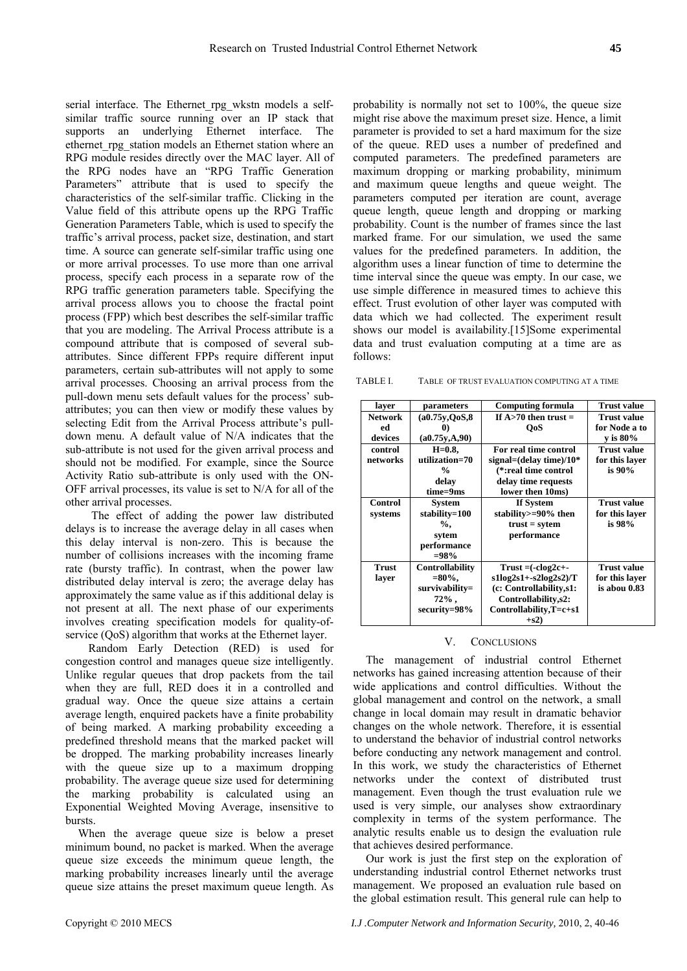serial interface. The Ethernet rpg wkstn models a selfsimilar traffic source running over an IP stack that supports an underlying Ethernet interface. The ethernet\_rpg\_station models an Ethernet station where an RPG module resides directly over the MAC layer. All of the RPG nodes have an "RPG Traffic Generation Parameters" attribute that is used to specify the characteristics of the self-similar traffic. Clicking in the Value field of this attribute opens up the RPG Traffic Generation Parameters Table, which is used to specify the traffic's arrival process, packet size, destination, and start time. A source can generate self-similar traffic using one or more arrival processes. To use more than one arrival process, specify each process in a separate row of the RPG traffic generation parameters table. Specifying the arrival process allows you to choose the fractal point process (FPP) which best describes the self-similar traffic that you are modeling. The Arrival Process attribute is a compound attribute that is composed of several subattributes. Since different FPPs require different input parameters, certain sub-attributes will not apply to some arrival processes. Choosing an arrival process from the pull-down menu sets default values for the process' subattributes; you can then view or modify these values by selecting Edit from the Arrival Process attribute's pulldown menu. A default value of N/A indicates that the sub-attribute is not used for the given arrival process and should not be modified. For example, since the Source Activity Ratio sub-attribute is only used with the ON-OFF arrival processes, its value is set to N/A for all of the

 The effect of adding the power law distributed delays is to increase the average delay in all cases when this delay interval is non-zero. This is because the number of collisions increases with the incoming frame rate (bursty traffic). In contrast, when the power law distributed delay interval is zero; the average delay has approximately the same value as if this additional delay is not present at all. The next phase of our experiments involves creating specification models for quality-ofservice (QoS) algorithm that works at the Ethernet layer.

Random Early Detection (RED) is used for congestion control and manages queue size intelligently. Unlike regular queues that drop packets from the tail when they are full, RED does it in a controlled and gradual way. Once the queue size attains a certain average length, enquired packets have a finite probability of being marked. A marking probability exceeding a predefined threshold means that the marked packet will be dropped. The marking probability increases linearly with the queue size up to a maximum dropping probability. The average queue size used for determining the marking probability is calculated using an Exponential Weighted Moving Average, insensitive to bursts.

When the average queue size is below a preset minimum bound, no packet is marked. When the average queue size exceeds the minimum queue length, the marking probability increases linearly until the average queue size attains the preset maximum queue length. As

other arrival processes.

probability is normally not set to 100%, the queue size might rise above the maximum preset size. Hence, a limit parameter is provided to set a hard maximum for the size of the queue. RED uses a number of predefined and computed parameters. The predefined parameters are maximum dropping or marking probability, minimum and maximum queue lengths and queue weight. The parameters computed per iteration are count, average queue length, queue length and dropping or marking probability. Count is the number of frames since the last marked frame. For our simulation, we used the same values for the predefined parameters. In addition, the algorithm uses a linear function of time to determine the time interval since the queue was empty. In our case, we use simple difference in measured times to achieve this effect. Trust evolution of other layer was computed with data which we had collected. The experiment result shows our model is availability.<sup>[15]</sup>Some experimental data and trust evaluation computing at a time are as follows:

TABLE I. TABLE OF TRUST EVALUATION COMPUTING AT A TIME

| layer          | parameters         | <b>Computing formula</b>        | <b>Trust value</b> |
|----------------|--------------------|---------------------------------|--------------------|
| <b>Network</b> | $(a0.75v, O_0S, 8$ | If $A > 70$ then trust $=$      | <b>Trust value</b> |
| ed             |                    | OoS                             | for Node a to      |
| devices        | (a0.75y, A, 90)    |                                 | v is 80%           |
| control        | $H=0.8$            | For real time control           | <b>Trust value</b> |
| networks       | utilization=70     | signal=(delay time)/ $10*$      | for this layer     |
|                | $\frac{0}{\alpha}$ | (*: real time control           | is $90\%$          |
|                | delay              | delay time requests             |                    |
|                | time=9ms           | lower then 10ms)                |                    |
| Control        | <b>System</b>      | If System                       | <b>Trust value</b> |
| systems        | stability=100      | stability>=90% then             | for this layer     |
|                | $\%$ .             | $trust = system$                | is 98%             |
|                | svtem              | performance                     |                    |
|                | performance        |                                 |                    |
|                | $= 98%$            |                                 |                    |
| <b>Trust</b>   | Controllability    | $Trust = (-clog2c)$             | <b>Trust value</b> |
| layer          | $= 80\%$           | $s1log2s1 + s2log2s2$ /T        | for this laver     |
|                | survivability=     | (c: Controllability,s1:         | is abou 0.83       |
|                | $72%$ .            | Controllability <sub>s2</sub> : |                    |
|                | security=98%       | Controllability, T=c+s1         |                    |
|                |                    | $+ s2)$                         |                    |

## V. CONCLUSIONS

The management of industrial control Ethernet networks has gained increasing attention because of their wide applications and control difficulties. Without the global management and control on the network, a small change in local domain may result in dramatic behavior changes on the whole network. Therefore, it is essential to understand the behavior of industrial control networks before conducting any network management and control. In this work, we study the characteristics of Ethernet networks under the context of distributed trust management. Even though the trust evaluation rule we used is very simple, our analyses show extraordinary complexity in terms of the system performance. The analytic results enable us to design the evaluation rule that achieves desired performance.

Our work is just the first step on the exploration of understanding industrial control Ethernet networks trust management. We proposed an evaluation rule based on the global estimation result. This general rule can help to